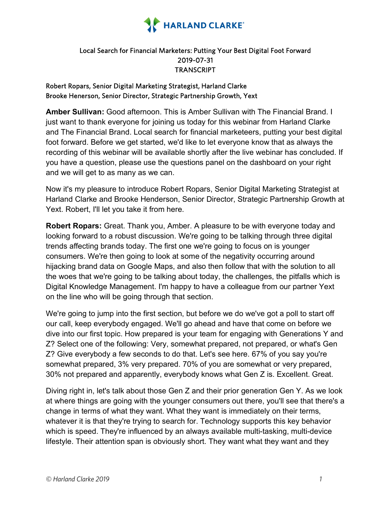

## Local Search for Financial Marketers: Putting Your Best Digital Foot Forward 2019-07-31 **TRANSCRIPT**

## Robert Ropars, Senior Digital Marketing Strategist, Harland Clarke Brooke Henerson, Senior Director, Strategic Partnership Growth, Yext

**Amber Sullivan:** Good afternoon. This is Amber Sullivan with The Financial Brand. I just want to thank everyone for joining us today for this webinar from Harland Clarke and The Financial Brand. Local search for financial marketeers, putting your best digital foot forward. Before we get started, we'd like to let everyone know that as always the recording of this webinar will be available shortly after the live webinar has concluded. If you have a question, please use the questions panel on the dashboard on your right and we will get to as many as we can.

Now it's my pleasure to introduce Robert Ropars, Senior Digital Marketing Strategist at Harland Clarke and Brooke Henderson, Senior Director, Strategic Partnership Growth at Yext. Robert, I'll let you take it from here.

**Robert Ropars:** Great. Thank you, Amber. A pleasure to be with everyone today and looking forward to a robust discussion. We're going to be talking through three digital trends affecting brands today. The first one we're going to focus on is younger consumers. We're then going to look at some of the negativity occurring around hijacking brand data on Google Maps, and also then follow that with the solution to all the woes that we're going to be talking about today, the challenges, the pitfalls which is Digital Knowledge Management. I'm happy to have a colleague from our partner Yext on the line who will be going through that section.

We're going to jump into the first section, but before we do we've got a poll to start off our call, keep everybody engaged. We'll go ahead and have that come on before we dive into our first topic. How prepared is your team for engaging with Generations Y and Z? Select one of the following: Very, somewhat prepared, not prepared, or what's Gen Z? Give everybody a few seconds to do that. Let's see here. 67% of you say you're somewhat prepared, 3% very prepared. 70% of you are somewhat or very prepared, 30% not prepared and apparently, everybody knows what Gen Z is. Excellent. Great.

Diving right in, let's talk about those Gen Z and their prior generation Gen Y. As we look at where things are going with the younger consumers out there, you'll see that there's a change in terms of what they want. What they want is immediately on their terms, whatever it is that they're trying to search for. Technology supports this key behavior which is speed. They're influenced by an always available multi-tasking, multi-device lifestyle. Their attention span is obviously short. They want what they want and they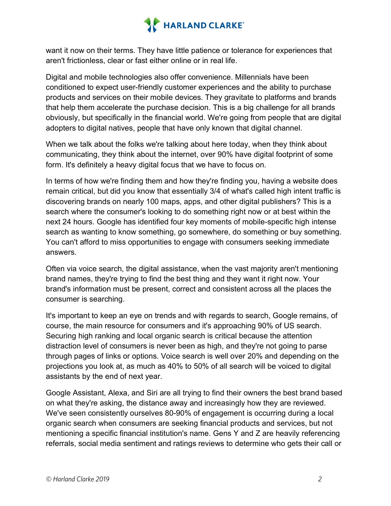

want it now on their terms. They have little patience or tolerance for experiences that aren't frictionless, clear or fast either online or in real life.

Digital and mobile technologies also offer convenience. Millennials have been conditioned to expect user-friendly customer experiences and the ability to purchase products and services on their mobile devices. They gravitate to platforms and brands that help them accelerate the purchase decision. This is a big challenge for all brands obviously, but specifically in the financial world. We're going from people that are digital adopters to digital natives, people that have only known that digital channel.

When we talk about the folks we're talking about here today, when they think about communicating, they think about the internet, over 90% have digital footprint of some form. It's definitely a heavy digital focus that we have to focus on.

In terms of how we're finding them and how they're finding you, having a website does remain critical, but did you know that essentially 3/4 of what's called high intent traffic is discovering brands on nearly 100 maps, apps, and other digital publishers? This is a search where the consumer's looking to do something right now or at best within the next 24 hours. Google has identified four key moments of mobile-specific high intense search as wanting to know something, go somewhere, do something or buy something. You can't afford to miss opportunities to engage with consumers seeking immediate answers.

Often via voice search, the digital assistance, when the vast majority aren't mentioning brand names, they're trying to find the best thing and they want it right now. Your brand's information must be present, correct and consistent across all the places the consumer is searching.

It's important to keep an eye on trends and with regards to search, Google remains, of course, the main resource for consumers and it's approaching 90% of US search. Securing high ranking and local organic search is critical because the attention distraction level of consumers is never been as high, and they're not going to parse through pages of links or options. Voice search is well over 20% and depending on the projections you look at, as much as 40% to 50% of all search will be voiced to digital assistants by the end of next year.

Google Assistant, Alexa, and Siri are all trying to find their owners the best brand based on what they're asking, the distance away and increasingly how they are reviewed. We've seen consistently ourselves 80-90% of engagement is occurring during a local organic search when consumers are seeking financial products and services, but not mentioning a specific financial institution's name. Gens Y and Z are heavily referencing referrals, social media sentiment and ratings reviews to determine who gets their call or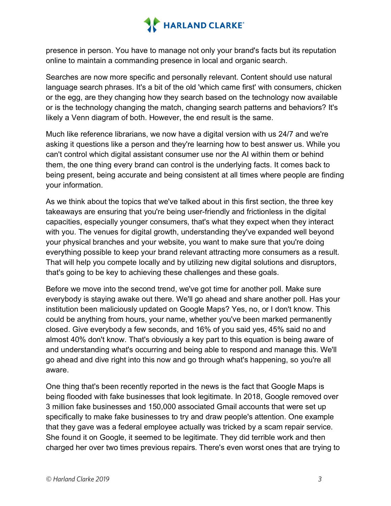

presence in person. You have to manage not only your brand's facts but its reputation online to maintain a commanding presence in local and organic search.

Searches are now more specific and personally relevant. Content should use natural language search phrases. It's a bit of the old 'which came first' with consumers, chicken or the egg, are they changing how they search based on the technology now available or is the technology changing the match, changing search patterns and behaviors? It's likely a Venn diagram of both. However, the end result is the same.

Much like reference librarians, we now have a digital version with us 24/7 and we're asking it questions like a person and they're learning how to best answer us. While you can't control which digital assistant consumer use nor the AI within them or behind them, the one thing every brand can control is the underlying facts. It comes back to being present, being accurate and being consistent at all times where people are finding your information.

As we think about the topics that we've talked about in this first section, the three key takeaways are ensuring that you're being user-friendly and frictionless in the digital capacities, especially younger consumers, that's what they expect when they interact with you. The venues for digital growth, understanding they've expanded well beyond your physical branches and your website, you want to make sure that you're doing everything possible to keep your brand relevant attracting more consumers as a result. That will help you compete locally and by utilizing new digital solutions and disruptors, that's going to be key to achieving these challenges and these goals.

Before we move into the second trend, we've got time for another poll. Make sure everybody is staying awake out there. We'll go ahead and share another poll. Has your institution been maliciously updated on Google Maps? Yes, no, or I don't know. This could be anything from hours, your name, whether you've been marked permanently closed. Give everybody a few seconds, and 16% of you said yes, 45% said no and almost 40% don't know. That's obviously a key part to this equation is being aware of and understanding what's occurring and being able to respond and manage this. We'll go ahead and dive right into this now and go through what's happening, so you're all aware.

One thing that's been recently reported in the news is the fact that Google Maps is being flooded with fake businesses that look legitimate. In 2018, Google removed over 3 million fake businesses and 150,000 associated Gmail accounts that were set up specifically to make fake businesses to try and draw people's attention. One example that they gave was a federal employee actually was tricked by a scam repair service. She found it on Google, it seemed to be legitimate. They did terrible work and then charged her over two times previous repairs. There's even worst ones that are trying to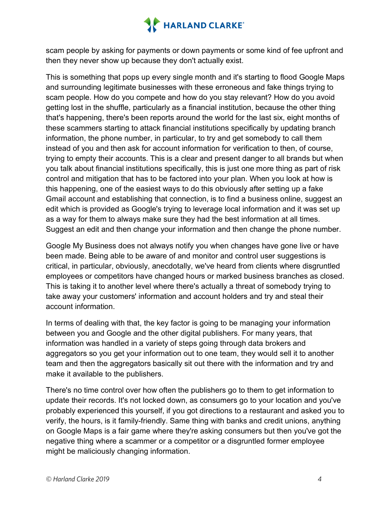

scam people by asking for payments or down payments or some kind of fee upfront and then they never show up because they don't actually exist.

This is something that pops up every single month and it's starting to flood Google Maps and surrounding legitimate businesses with these erroneous and fake things trying to scam people. How do you compete and how do you stay relevant? How do you avoid getting lost in the shuffle, particularly as a financial institution, because the other thing that's happening, there's been reports around the world for the last six, eight months of these scammers starting to attack financial institutions specifically by updating branch information, the phone number, in particular, to try and get somebody to call them instead of you and then ask for account information for verification to then, of course, trying to empty their accounts. This is a clear and present danger to all brands but when you talk about financial institutions specifically, this is just one more thing as part of risk control and mitigation that has to be factored into your plan. When you look at how is this happening, one of the easiest ways to do this obviously after setting up a fake Gmail account and establishing that connection, is to find a business online, suggest an edit which is provided as Google's trying to leverage local information and it was set up as a way for them to always make sure they had the best information at all times. Suggest an edit and then change your information and then change the phone number.

Google My Business does not always notify you when changes have gone live or have been made. Being able to be aware of and monitor and control user suggestions is critical, in particular, obviously, anecdotally, we've heard from clients where disgruntled employees or competitors have changed hours or marked business branches as closed. This is taking it to another level where there's actually a threat of somebody trying to take away your customers' information and account holders and try and steal their account information.

In terms of dealing with that, the key factor is going to be managing your information between you and Google and the other digital publishers. For many years, that information was handled in a variety of steps going through data brokers and aggregators so you get your information out to one team, they would sell it to another team and then the aggregators basically sit out there with the information and try and make it available to the publishers.

There's no time control over how often the publishers go to them to get information to update their records. It's not locked down, as consumers go to your location and you've probably experienced this yourself, if you got directions to a restaurant and asked you to verify, the hours, is it family-friendly. Same thing with banks and credit unions, anything on Google Maps is a fair game where they're asking consumers but then you've got the negative thing where a scammer or a competitor or a disgruntled former employee might be maliciously changing information.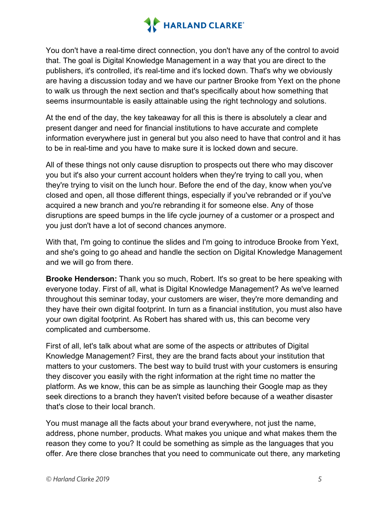

You don't have a real-time direct connection, you don't have any of the control to avoid that. The goal is Digital Knowledge Management in a way that you are direct to the publishers, it's controlled, it's real-time and it's locked down. That's why we obviously are having a discussion today and we have our partner Brooke from Yext on the phone to walk us through the next section and that's specifically about how something that seems insurmountable is easily attainable using the right technology and solutions.

At the end of the day, the key takeaway for all this is there is absolutely a clear and present danger and need for financial institutions to have accurate and complete information everywhere just in general but you also need to have that control and it has to be in real-time and you have to make sure it is locked down and secure.

All of these things not only cause disruption to prospects out there who may discover you but it's also your current account holders when they're trying to call you, when they're trying to visit on the lunch hour. Before the end of the day, know when you've closed and open, all those different things, especially if you've rebranded or if you've acquired a new branch and you're rebranding it for someone else. Any of those disruptions are speed bumps in the life cycle journey of a customer or a prospect and you just don't have a lot of second chances anymore.

With that, I'm going to continue the slides and I'm going to introduce Brooke from Yext, and she's going to go ahead and handle the section on Digital Knowledge Management and we will go from there.

**Brooke Henderson:** Thank you so much, Robert. It's so great to be here speaking with everyone today. First of all, what is Digital Knowledge Management? As we've learned throughout this seminar today, your customers are wiser, they're more demanding and they have their own digital footprint. In turn as a financial institution, you must also have your own digital footprint. As Robert has shared with us, this can become very complicated and cumbersome.

First of all, let's talk about what are some of the aspects or attributes of Digital Knowledge Management? First, they are the brand facts about your institution that matters to your customers. The best way to build trust with your customers is ensuring they discover you easily with the right information at the right time no matter the platform. As we know, this can be as simple as launching their Google map as they seek directions to a branch they haven't visited before because of a weather disaster that's close to their local branch.

You must manage all the facts about your brand everywhere, not just the name, address, phone number, products. What makes you unique and what makes them the reason they come to you? It could be something as simple as the languages that you offer. Are there close branches that you need to communicate out there, any marketing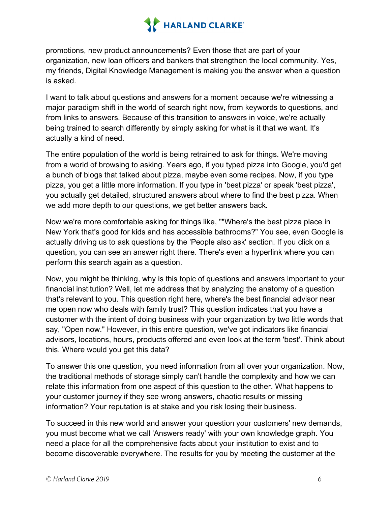

promotions, new product announcements? Even those that are part of your organization, new loan officers and bankers that strengthen the local community. Yes, my friends, Digital Knowledge Management is making you the answer when a question is asked.

I want to talk about questions and answers for a moment because we're witnessing a major paradigm shift in the world of search right now, from keywords to questions, and from links to answers. Because of this transition to answers in voice, we're actually being trained to search differently by simply asking for what is it that we want. It's actually a kind of need.

The entire population of the world is being retrained to ask for things. We're moving from a world of browsing to asking. Years ago, if you typed pizza into Google, you'd get a bunch of blogs that talked about pizza, maybe even some recipes. Now, if you type pizza, you get a little more information. If you type in 'best pizza' or speak 'best pizza', you actually get detailed, structured answers about where to find the best pizza. When we add more depth to our questions, we get better answers back.

Now we're more comfortable asking for things like, ""Where's the best pizza place in New York that's good for kids and has accessible bathrooms?" You see, even Google is actually driving us to ask questions by the 'People also ask' section. If you click on a question, you can see an answer right there. There's even a hyperlink where you can perform this search again as a question.

Now, you might be thinking, why is this topic of questions and answers important to your financial institution? Well, let me address that by analyzing the anatomy of a question that's relevant to you. This question right here, where's the best financial advisor near me open now who deals with family trust? This question indicates that you have a customer with the intent of doing business with your organization by two little words that say, "Open now." However, in this entire question, we've got indicators like financial advisors, locations, hours, products offered and even look at the term 'best'. Think about this. Where would you get this data?

To answer this one question, you need information from all over your organization. Now, the traditional methods of storage simply can't handle the complexity and how we can relate this information from one aspect of this question to the other. What happens to your customer journey if they see wrong answers, chaotic results or missing information? Your reputation is at stake and you risk losing their business.

To succeed in this new world and answer your question your customers' new demands, you must become what we call 'Answers ready' with your own knowledge graph. You need a place for all the comprehensive facts about your institution to exist and to become discoverable everywhere. The results for you by meeting the customer at the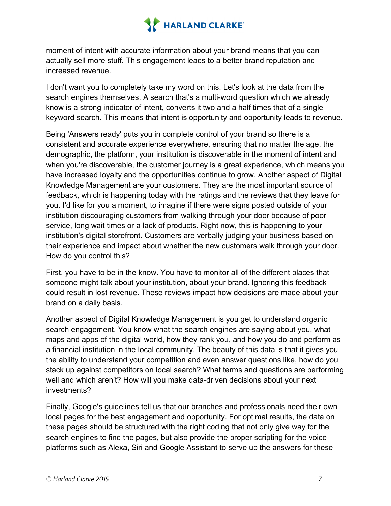

moment of intent with accurate information about your brand means that you can actually sell more stuff. This engagement leads to a better brand reputation and increased revenue.

I don't want you to completely take my word on this. Let's look at the data from the search engines themselves. A search that's a multi-word question which we already know is a strong indicator of intent, converts it two and a half times that of a single keyword search. This means that intent is opportunity and opportunity leads to revenue.

Being 'Answers ready' puts you in complete control of your brand so there is a consistent and accurate experience everywhere, ensuring that no matter the age, the demographic, the platform, your institution is discoverable in the moment of intent and when you're discoverable, the customer journey is a great experience, which means you have increased loyalty and the opportunities continue to grow. Another aspect of Digital Knowledge Management are your customers. They are the most important source of feedback, which is happening today with the ratings and the reviews that they leave for you. I'd like for you a moment, to imagine if there were signs posted outside of your institution discouraging customers from walking through your door because of poor service, long wait times or a lack of products. Right now, this is happening to your institution's digital storefront. Customers are verbally judging your business based on their experience and impact about whether the new customers walk through your door. How do you control this?

First, you have to be in the know. You have to monitor all of the different places that someone might talk about your institution, about your brand. Ignoring this feedback could result in lost revenue. These reviews impact how decisions are made about your brand on a daily basis.

Another aspect of Digital Knowledge Management is you get to understand organic search engagement. You know what the search engines are saying about you, what maps and apps of the digital world, how they rank you, and how you do and perform as a financial institution in the local community. The beauty of this data is that it gives you the ability to understand your competition and even answer questions like, how do you stack up against competitors on local search? What terms and questions are performing well and which aren't? How will you make data-driven decisions about your next investments?

Finally, Google's guidelines tell us that our branches and professionals need their own local pages for the best engagement and opportunity. For optimal results, the data on these pages should be structured with the right coding that not only give way for the search engines to find the pages, but also provide the proper scripting for the voice platforms such as Alexa, Siri and Google Assistant to serve up the answers for these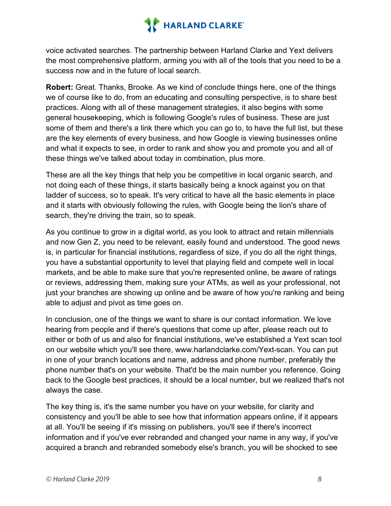

voice activated searches. The partnership between Harland Clarke and Yext delivers the most comprehensive platform, arming you with all of the tools that you need to be a success now and in the future of local search.

**Robert:** Great. Thanks, Brooke. As we kind of conclude things here, one of the things we of course like to do, from an educating and consulting perspective, is to share best practices. Along with all of these management strategies, it also begins with some general housekeeping, which is following Google's rules of business. These are just some of them and there's a link there which you can go to, to have the full list, but these are the key elements of every business, and how Google is viewing businesses online and what it expects to see, in order to rank and show you and promote you and all of these things we've talked about today in combination, plus more.

These are all the key things that help you be competitive in local organic search, and not doing each of these things, it starts basically being a knock against you on that ladder of success, so to speak. It's very critical to have all the basic elements in place and it starts with obviously following the rules, with Google being the lion's share of search, they're driving the train, so to speak.

As you continue to grow in a digital world, as you look to attract and retain millennials and now Gen Z, you need to be relevant, easily found and understood. The good news is, in particular for financial institutions, regardless of size, if you do all the right things, you have a substantial opportunity to level that playing field and compete well in local markets, and be able to make sure that you're represented online, be aware of ratings or reviews, addressing them, making sure your ATMs, as well as your professional, not just your branches are showing up online and be aware of how you're ranking and being able to adjust and pivot as time goes on.

In conclusion, one of the things we want to share is our contact information. We love hearing from people and if there's questions that come up after, please reach out to either or both of us and also for financial institutions, we've established a Yext scan tool on our website which you'll see there, www.harlandclarke.com/Yext-scan. You can put in one of your branch locations and name, address and phone number, preferably the phone number that's on your website. That'd be the main number you reference. Going back to the Google best practices, it should be a local number, but we realized that's not always the case.

The key thing is, it's the same number you have on your website, for clarity and consistency and you'll be able to see how that information appears online, if it appears at all. You'll be seeing if it's missing on publishers, you'll see if there's incorrect information and if you've ever rebranded and changed your name in any way, if you've acquired a branch and rebranded somebody else's branch, you will be shocked to see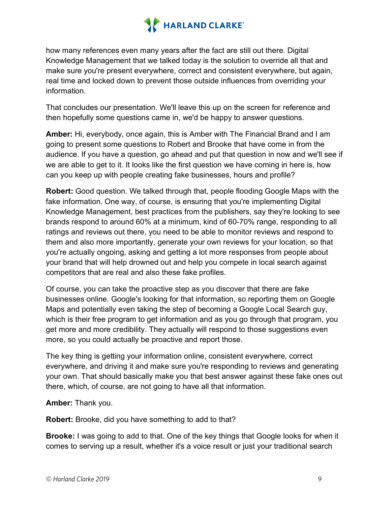

how many references even many years after the fact are still out there. Digital Knowledge Management that we talked today is the solution to override all that and make sure you're present everywhere, correct and consistent everywhere, but again, real time and locked down to prevent those outside influences from overriding your information.

That concludes our presentation. We'll leave this up on the screen for reference and then hopefully some questions came in, we'd be happy to answer questions.

**Amber:** Hi, everybody, once again, this is Amber with The Financial Brand and I am going to present some questions to Robert and Brooke that have come in from the audience. If you have a question, go ahead and put that question in now and we'll see if we are able to get to it. It looks like the first question we have coming in here is, how can you keep up with people creating fake businesses, hours and profile?

**Robert:** Good question. We talked through that, people flooding Google Maps with the fake information. One way, of course, is ensuring that you're implementing Digital Knowledge Management, best practices from the publishers, say they're looking to see brands respond to around 60% at a minimum, kind of 60-70% range, responding to all ratings and reviews out there, you need to be able to monitor reviews and respond to them and also more importantly, generate your own reviews for your location, so that you're actually ongoing, asking and getting a lot more responses from people about your brand that will help drowned out and help you compete in local search against competitors that are real and also these fake profiles.

Of course, you can take the proactive step as you discover that there are fake businesses online. Google's looking for that information, so reporting them on Google Maps and potentially even taking the step of becoming a Google Local Search guy, which is their free program to get information and as you go through that program, you get more and more credibility. They actually will respond to those suggestions even more, so you could actually be proactive and report those.

The key thing is getting your information online, consistent everywhere, correct everywhere, and driving it and make sure you're responding to reviews and generating your own. That should basically make you that best answer against these fake ones out there, which, of course, are not going to have all that information.

**Amber:** Thank you.

**Robert:** Brooke, did you have something to add to that?

**Brooke:** I was going to add to that. One of the key things that Google looks for when it comes to serving up a result, whether it's a voice result or just your traditional search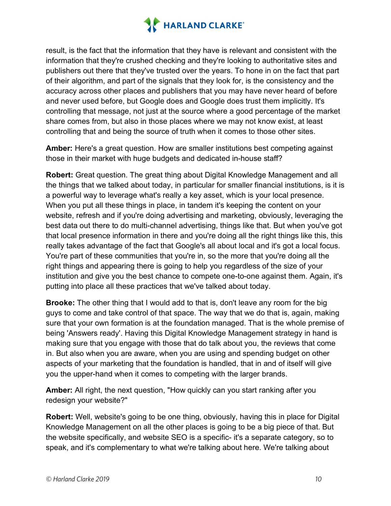

result, is the fact that the information that they have is relevant and consistent with the information that they're crushed checking and they're looking to authoritative sites and publishers out there that they've trusted over the years. To hone in on the fact that part of their algorithm, and part of the signals that they look for, is the consistency and the accuracy across other places and publishers that you may have never heard of before and never used before, but Google does and Google does trust them implicitly. It's controlling that message, not just at the source where a good percentage of the market share comes from, but also in those places where we may not know exist, at least controlling that and being the source of truth when it comes to those other sites.

**Amber:** Here's a great question. How are smaller institutions best competing against those in their market with huge budgets and dedicated in-house staff?

**Robert:** Great question. The great thing about Digital Knowledge Management and all the things that we talked about today, in particular for smaller financial institutions, is it is a powerful way to leverage what's really a key asset, which is your local presence. When you put all these things in place, in tandem it's keeping the content on your website, refresh and if you're doing advertising and marketing, obviously, leveraging the best data out there to do multi-channel advertising, things like that. But when you've got that local presence information in there and you're doing all the right things like this, this really takes advantage of the fact that Google's all about local and it's got a local focus. You're part of these communities that you're in, so the more that you're doing all the right things and appearing there is going to help you regardless of the size of your institution and give you the best chance to compete one-to-one against them. Again, it's putting into place all these practices that we've talked about today.

**Brooke:** The other thing that I would add to that is, don't leave any room for the big guys to come and take control of that space. The way that we do that is, again, making sure that your own formation is at the foundation managed. That is the whole premise of being 'Answers ready'. Having this Digital Knowledge Management strategy in hand is making sure that you engage with those that do talk about you, the reviews that come in. But also when you are aware, when you are using and spending budget on other aspects of your marketing that the foundation is handled, that in and of itself will give you the upper-hand when it comes to competing with the larger brands.

**Amber:** All right, the next question, "How quickly can you start ranking after you redesign your website?"

**Robert:** Well, website's going to be one thing, obviously, having this in place for Digital Knowledge Management on all the other places is going to be a big piece of that. But the website specifically, and website SEO is a specific- it's a separate category, so to speak, and it's complementary to what we're talking about here. We're talking about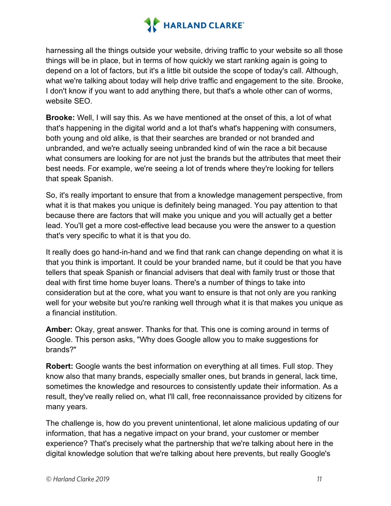

harnessing all the things outside your website, driving traffic to your website so all those things will be in place, but in terms of how quickly we start ranking again is going to depend on a lot of factors, but it's a little bit outside the scope of today's call. Although, what we're talking about today will help drive traffic and engagement to the site. Brooke, I don't know if you want to add anything there, but that's a whole other can of worms, website SEO.

**Brooke:** Well, I will say this. As we have mentioned at the onset of this, a lot of what that's happening in the digital world and a lot that's what's happening with consumers, both young and old alike, is that their searches are branded or not branded and unbranded, and we're actually seeing unbranded kind of win the race a bit because what consumers are looking for are not just the brands but the attributes that meet their best needs. For example, we're seeing a lot of trends where they're looking for tellers that speak Spanish.

So, it's really important to ensure that from a knowledge management perspective, from what it is that makes you unique is definitely being managed. You pay attention to that because there are factors that will make you unique and you will actually get a better lead. You'll get a more cost-effective lead because you were the answer to a question that's very specific to what it is that you do.

It really does go hand-in-hand and we find that rank can change depending on what it is that you think is important. It could be your branded name, but it could be that you have tellers that speak Spanish or financial advisers that deal with family trust or those that deal with first time home buyer loans. There's a number of things to take into consideration but at the core, what you want to ensure is that not only are you ranking well for your website but you're ranking well through what it is that makes you unique as a financial institution.

**Amber:** Okay, great answer. Thanks for that. This one is coming around in terms of Google. This person asks, "Why does Google allow you to make suggestions for brands?"

**Robert:** Google wants the best information on everything at all times. Full stop. They know also that many brands, especially smaller ones, but brands in general, lack time, sometimes the knowledge and resources to consistently update their information. As a result, they've really relied on, what I'll call, free reconnaissance provided by citizens for many years.

The challenge is, how do you prevent unintentional, let alone malicious updating of our information, that has a negative impact on your brand, your customer or member experience? That's precisely what the partnership that we're talking about here in the digital knowledge solution that we're talking about here prevents, but really Google's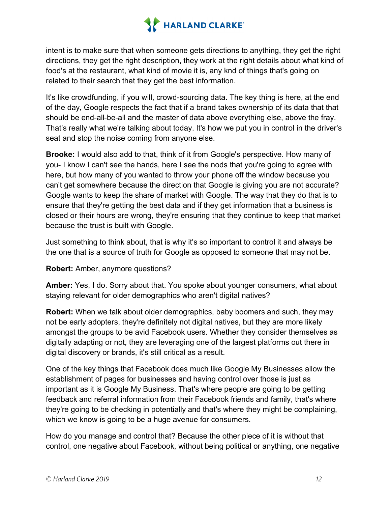

intent is to make sure that when someone gets directions to anything, they get the right directions, they get the right description, they work at the right details about what kind of food's at the restaurant, what kind of movie it is, any knd of things that's going on related to their search that they get the best information.

It's like crowdfunding, if you will, crowd-sourcing data. The key thing is here, at the end of the day, Google respects the fact that if a brand takes ownership of its data that that should be end-all-be-all and the master of data above everything else, above the fray. That's really what we're talking about today. It's how we put you in control in the driver's seat and stop the noise coming from anyone else.

**Brooke:** I would also add to that, think of it from Google's perspective. How many of you- I know I can't see the hands, here I see the nods that you're going to agree with here, but how many of you wanted to throw your phone off the window because you can't get somewhere because the direction that Google is giving you are not accurate? Google wants to keep the share of market with Google. The way that they do that is to ensure that they're getting the best data and if they get information that a business is closed or their hours are wrong, they're ensuring that they continue to keep that market because the trust is built with Google.

Just something to think about, that is why it's so important to control it and always be the one that is a source of truth for Google as opposed to someone that may not be.

**Robert:** Amber, anymore questions?

**Amber:** Yes, I do. Sorry about that. You spoke about younger consumers, what about staying relevant for older demographics who aren't digital natives?

**Robert:** When we talk about older demographics, baby boomers and such, they may not be early adopters, they're definitely not digital natives, but they are more likely amongst the groups to be avid Facebook users. Whether they consider themselves as digitally adapting or not, they are leveraging one of the largest platforms out there in digital discovery or brands, it's still critical as a result.

One of the key things that Facebook does much like Google My Businesses allow the establishment of pages for businesses and having control over those is just as important as it is Google My Business. That's where people are going to be getting feedback and referral information from their Facebook friends and family, that's where they're going to be checking in potentially and that's where they might be complaining, which we know is going to be a huge avenue for consumers.

How do you manage and control that? Because the other piece of it is without that control, one negative about Facebook, without being political or anything, one negative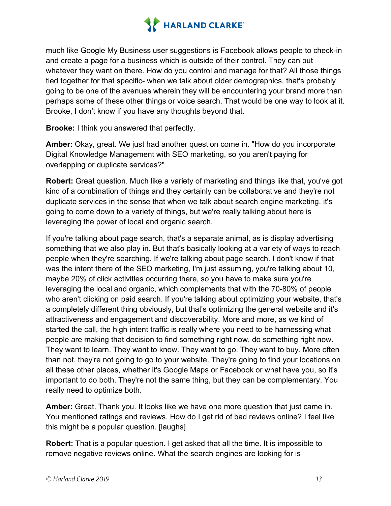

much like Google My Business user suggestions is Facebook allows people to check-in and create a page for a business which is outside of their control. They can put whatever they want on there. How do you control and manage for that? All those things tied together for that specific- when we talk about older demographics, that's probably going to be one of the avenues wherein they will be encountering your brand more than perhaps some of these other things or voice search. That would be one way to look at it. Brooke, I don't know if you have any thoughts beyond that.

**Brooke:** I think you answered that perfectly.

**Amber:** Okay, great. We just had another question come in. "How do you incorporate Digital Knowledge Management with SEO marketing, so you aren't paying for overlapping or duplicate services?"

**Robert:** Great question. Much like a variety of marketing and things like that, you've got kind of a combination of things and they certainly can be collaborative and they're not duplicate services in the sense that when we talk about search engine marketing, it's going to come down to a variety of things, but we're really talking about here is leveraging the power of local and organic search.

If you're talking about page search, that's a separate animal, as is display advertising something that we also play in. But that's basically looking at a variety of ways to reach people when they're searching. If we're talking about page search. I don't know if that was the intent there of the SEO marketing, I'm just assuming, you're talking about 10, maybe 20% of click activities occurring there, so you have to make sure you're leveraging the local and organic, which complements that with the 70-80% of people who aren't clicking on paid search. If you're talking about optimizing your website, that's a completely different thing obviously, but that's optimizing the general website and it's attractiveness and engagement and discoverability. More and more, as we kind of started the call, the high intent traffic is really where you need to be harnessing what people are making that decision to find something right now, do something right now. They want to learn. They want to know. They want to go. They want to buy. More often than not, they're not going to go to your website. They're going to find your locations on all these other places, whether it's Google Maps or Facebook or what have you, so it's important to do both. They're not the same thing, but they can be complementary. You really need to optimize both.

**Amber:** Great. Thank you. It looks like we have one more question that just came in. You mentioned ratings and reviews. How do I get rid of bad reviews online? I feel like this might be a popular question. [laughs]

**Robert:** That is a popular question. I get asked that all the time. It is impossible to remove negative reviews online. What the search engines are looking for is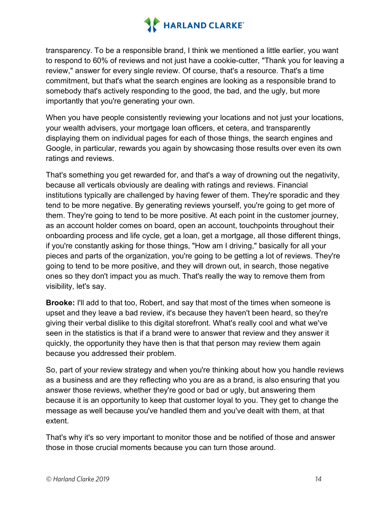

transparency. To be a responsible brand, I think we mentioned a little earlier, you want to respond to 60% of reviews and not just have a cookie-cutter, "Thank you for leaving a review," answer for every single review. Of course, that's a resource. That's a time commitment, but that's what the search engines are looking as a responsible brand to somebody that's actively responding to the good, the bad, and the ugly, but more importantly that you're generating your own.

When you have people consistently reviewing your locations and not just your locations, your wealth advisers, your mortgage loan officers, et cetera, and transparently displaying them on individual pages for each of those things, the search engines and Google, in particular, rewards you again by showcasing those results over even its own ratings and reviews.

That's something you get rewarded for, and that's a way of drowning out the negativity, because all verticals obviously are dealing with ratings and reviews. Financial institutions typically are challenged by having fewer of them. They're sporadic and they tend to be more negative. By generating reviews yourself, you're going to get more of them. They're going to tend to be more positive. At each point in the customer journey, as an account holder comes on board, open an account, touchpoints throughout their onboarding process and life cycle, get a loan, get a mortgage, all those different things, if you're constantly asking for those things, "How am I driving," basically for all your pieces and parts of the organization, you're going to be getting a lot of reviews. They're going to tend to be more positive, and they will drown out, in search, those negative ones so they don't impact you as much. That's really the way to remove them from visibility, let's say.

**Brooke:** I'll add to that too, Robert, and say that most of the times when someone is upset and they leave a bad review, it's because they haven't been heard, so they're giving their verbal dislike to this digital storefront. What's really cool and what we've seen in the statistics is that if a brand were to answer that review and they answer it quickly, the opportunity they have then is that that person may review them again because you addressed their problem.

So, part of your review strategy and when you're thinking about how you handle reviews as a business and are they reflecting who you are as a brand, is also ensuring that you answer those reviews, whether they're good or bad or ugly, but answering them because it is an opportunity to keep that customer loyal to you. They get to change the message as well because you've handled them and you've dealt with them, at that extent.

That's why it's so very important to monitor those and be notified of those and answer those in those crucial moments because you can turn those around.